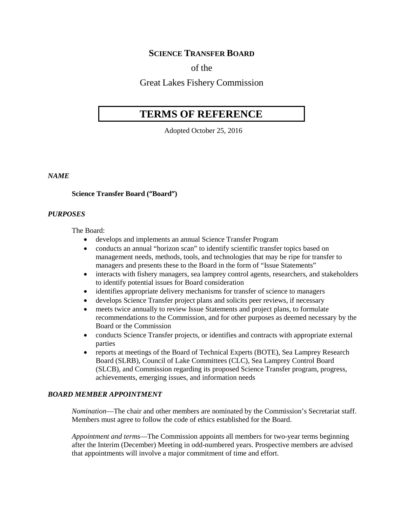# **SCIENCE TRANSFER BOARD**

# of the

# Great Lakes Fishery Commission

# **TERMS OF REFERENCE**

Adopted October 25, 2016

## *NAME*

#### **Science Transfer Board ("Board")**

#### *PURPOSES*

The Board:

- develops and implements an annual Science Transfer Program
- conducts an annual "horizon scan" to identify scientific transfer topics based on management needs, methods, tools, and technologies that may be ripe for transfer to managers and presents these to the Board in the form of "Issue Statements"
- interacts with fishery managers, sea lamprey control agents, researchers, and stakeholders to identify potential issues for Board consideration
- identifies appropriate delivery mechanisms for transfer of science to managers
- develops Science Transfer project plans and solicits peer reviews, if necessary
- meets twice annually to review Issue Statements and project plans, to formulate recommendations to the Commission, and for other purposes as deemed necessary by the Board or the Commission
- conducts Science Transfer projects, or identifies and contracts with appropriate external parties
- reports at meetings of the Board of Technical Experts (BOTE), Sea Lamprey Research Board (SLRB), Council of Lake Committees (CLC), Sea Lamprey Control Board (SLCB), and Commission regarding its proposed Science Transfer program, progress, achievements, emerging issues, and information needs

#### *BOARD MEMBER APPOINTMENT*

*Nomination*—The chair and other members are nominated by the Commission's Secretariat staff. Members must agree to follow the code of ethics established for the Board.

*Appointment and terms*—The Commission appoints all members for two-year terms beginning after the Interim (December) Meeting in odd-numbered years. Prospective members are advised that appointments will involve a major commitment of time and effort.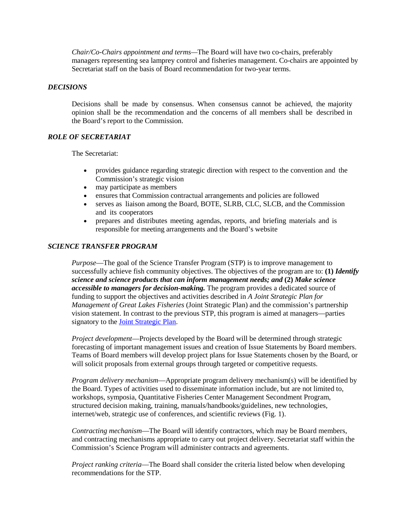*Chair/Co-Chairs appointment and terms—*The Board will have two co-chairs, preferably managers representing sea lamprey control and fisheries management. Co-chairs are appointed by Secretariat staff on the basis of Board recommendation for two-year terms.

## *DECISIONS*

Decisions shall be made by consensus. When consensus cannot be achieved, the majority opinion shall be the recommendation and the concerns of all members shall be described in the Board's report to the Commission.

## *ROLE OF SECRETARIAT*

The Secretariat:

- provides guidance regarding strategic direction with respect to the convention and the Commission's strategic vision
- may participate as members
- ensures that Commission contractual arrangements and policies are followed
- serves as liaison among the Board, BOTE, SLRB, CLC, SLCB, and the Commission and its cooperators
- prepares and distributes meeting agendas, reports, and briefing materials and is responsible for meeting arrangements and the Board's website

## *SCIENCE TRANSFER PROGRAM*

*Purpose*—The goal of the Science Transfer Program (STP) is to improve management to successfully achieve fish community objectives. The objectives of the program are to: **(1)** *Identify science and science products that can inform management needs; and* **(2)** *Make science accessible to managers for decision-making.* The program provides a dedicated source of funding to support the objectives and activities described in *A Joint Strategic Plan for Management of Great Lakes Fisheries* (Joint Strategic Plan) and the commission's partnership vision statement. In contrast to the previous STP, this program is aimed at managers—parties signatory to the [Joint Strategic Plan.](http://www.glfc.org/fishmgmt/jsp97.pdf)

*Project development*—Projects developed by the Board will be determined through strategic forecasting of important management issues and creation of Issue Statements by Board members. Teams of Board members will develop project plans for Issue Statements chosen by the Board, or will solicit proposals from external groups through targeted or competitive requests.

*Program delivery mechanism*—Appropriate program delivery mechanism(s) will be identified by the Board. Types of activities used to disseminate information include, but are not limited to, workshops, symposia, Quantitative Fisheries Center Management Secondment Program, structured decision making, training, manuals/handbooks/guidelines, new technologies, internet/web, strategic use of conferences, and scientific reviews (Fig. 1).

*Contracting mechanism*—The Board will identify contractors, which may be Board members, and contracting mechanisms appropriate to carry out project delivery. Secretariat staff within the Commission's Science Program will administer contracts and agreements.

*Project ranking criteria*—The Board shall consider the criteria listed below when developing recommendations for the STP.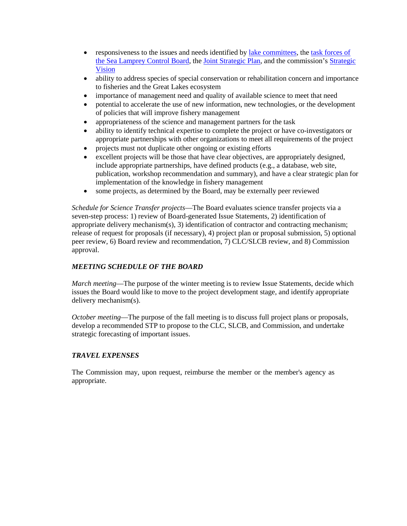- responsiveness to the issues and needs identified by [lake committees,](http://www.glfc.org/research/FRclc.php) the task forces of [the Sea Lamprey Control Board,](http://www.glfc.org/research/SLCB_research_priorities.pdf) the [Joint Strategic Plan,](http://www.glfc.org/fishmgmt/jsp97.pdf) and the commission's [Strategic](http://www.glfc.org/pubs/SpecialPubs/StrategicVision2012.pdf)  [Vision](http://www.glfc.org/pubs/SpecialPubs/StrategicVision2012.pdf)
- ability to address species of special conservation or rehabilitation concern and importance to fisheries and the Great Lakes ecosystem
- importance of management need and quality of available science to meet that need
- potential to accelerate the use of new information, new technologies, or the development of policies that will improve fishery management
- appropriateness of the science and management partners for the task
- ability to identify technical expertise to complete the project or have co-investigators or appropriate partnerships with other organizations to meet all requirements of the project
- projects must not duplicate other ongoing or existing efforts
- excellent projects will be those that have clear objectives, are appropriately designed, include appropriate partnerships, have defined products (e.g., a database, web site, publication, workshop recommendation and summary), and have a clear strategic plan for implementation of the knowledge in fishery management
- some projects, as determined by the Board, may be externally peer reviewed

*Schedule for Science Transfer projects*—The Board evaluates science transfer projects via a seven-step process: 1) review of Board-generated Issue Statements, 2) identification of appropriate delivery mechanism(s), 3) identification of contractor and contracting mechanism; release of request for proposals (if necessary), 4) project plan or proposal submission, 5) optional peer review, 6) Board review and recommendation, 7) CLC/SLCB review, and 8) Commission approval.

# *MEETING SCHEDULE OF THE BOARD*

*March meeting*—The purpose of the winter meeting is to review Issue Statements, decide which issues the Board would like to move to the project development stage, and identify appropriate delivery mechanism(s).

*October meeting*—The purpose of the fall meeting is to discuss full project plans or proposals, develop a recommended STP to propose to the CLC, SLCB, and Commission, and undertake strategic forecasting of important issues.

## *TRAVEL EXPENSES*

The Commission may, upon request, reimburse the member or the member's agency as appropriate.